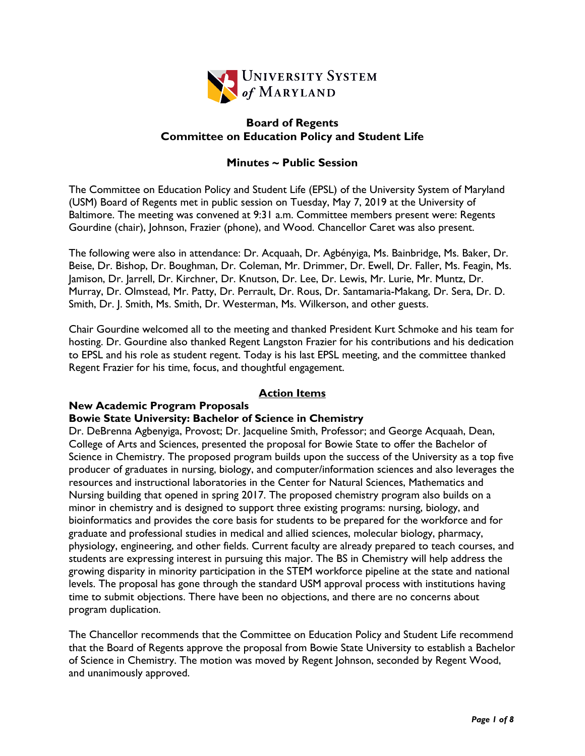

# **Board of Regents Committee on Education Policy and Student Life**

# **Minutes ~ Public Session**

The Committee on Education Policy and Student Life (EPSL) of the University System of Maryland (USM) Board of Regents met in public session on Tuesday, May 7, 2019 at the University of Baltimore. The meeting was convened at 9:31 a.m. Committee members present were: Regents Gourdine (chair), Johnson, Frazier (phone), and Wood. Chancellor Caret was also present.

The following were also in attendance: Dr. Acquaah, Dr. Agbényiga, Ms. Bainbridge, Ms. Baker, Dr. Beise, Dr. Bishop, Dr. Boughman, Dr. Coleman, Mr. Drimmer, Dr. Ewell, Dr. Faller, Ms. Feagin, Ms. Jamison, Dr. Jarrell, Dr. Kirchner, Dr. Knutson, Dr. Lee, Dr. Lewis, Mr. Lurie, Mr. Muntz, Dr. Murray, Dr. Olmstead, Mr. Patty, Dr. Perrault, Dr. Rous, Dr. Santamaria-Makang, Dr. Sera, Dr. D. Smith, Dr. J. Smith, Ms. Smith, Dr. Westerman, Ms. Wilkerson, and other guests.

Chair Gourdine welcomed all to the meeting and thanked President Kurt Schmoke and his team for hosting. Dr. Gourdine also thanked Regent Langston Frazier for his contributions and his dedication to EPSL and his role as student regent. Today is his last EPSL meeting, and the committee thanked Regent Frazier for his time, focus, and thoughtful engagement.

## **Action Items**

# **New Academic Program Proposals**

#### **Bowie State University: Bachelor of Science in Chemistry**

Dr. DeBrenna Agbenyiga, Provost; Dr. Jacqueline Smith, Professor; and George Acquaah, Dean, College of Arts and Sciences, presented the proposal for Bowie State to offer the Bachelor of Science in Chemistry. The proposed program builds upon the success of the University as a top five producer of graduates in nursing, biology, and computer/information sciences and also leverages the resources and instructional laboratories in the Center for Natural Sciences, Mathematics and Nursing building that opened in spring 2017. The proposed chemistry program also builds on a minor in chemistry and is designed to support three existing programs: nursing, biology, and bioinformatics and provides the core basis for students to be prepared for the workforce and for graduate and professional studies in medical and allied sciences, molecular biology, pharmacy, physiology, engineering, and other fields. Current faculty are already prepared to teach courses, and students are expressing interest in pursuing this major. The BS in Chemistry will help address the growing disparity in minority participation in the STEM workforce pipeline at the state and national levels. The proposal has gone through the standard USM approval process with institutions having time to submit objections. There have been no objections, and there are no concerns about program duplication.

The Chancellor recommends that the Committee on Education Policy and Student Life recommend that the Board of Regents approve the proposal from Bowie State University to establish a Bachelor of Science in Chemistry. The motion was moved by Regent Johnson, seconded by Regent Wood, and unanimously approved.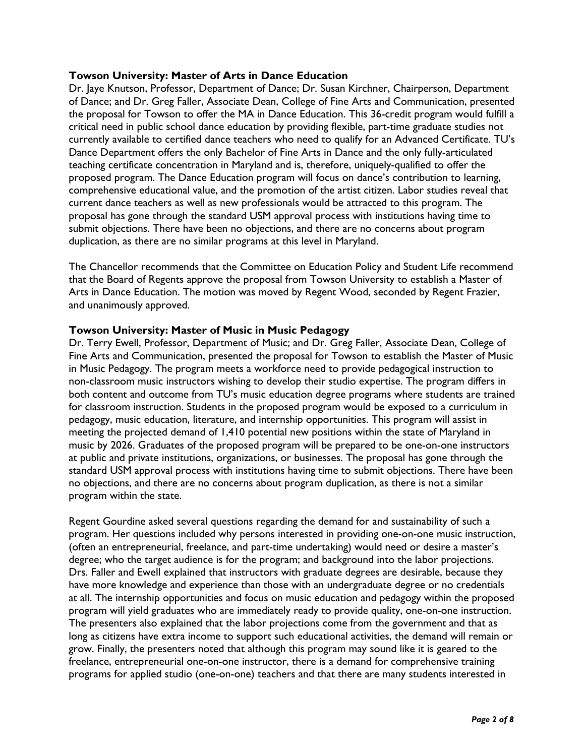### **Towson University: Master of Arts in Dance Education**

Dr. Jaye Knutson, Professor, Department of Dance; Dr. Susan Kirchner, Chairperson, Department of Dance; and Dr. Greg Faller, Associate Dean, College of Fine Arts and Communication, presented the proposal for Towson to offer the MA in Dance Education. This 36-credit program would fulfill a critical need in public school dance education by providing flexible, part-time graduate studies not currently available to certified dance teachers who need to qualify for an Advanced Certificate. TU's Dance Department offers the only Bachelor of Fine Arts in Dance and the only fully-articulated teaching certificate concentration in Maryland and is, therefore, uniquely-qualified to offer the proposed program. The Dance Education program will focus on dance's contribution to learning, comprehensive educational value, and the promotion of the artist citizen. Labor studies reveal that current dance teachers as well as new professionals would be attracted to this program. The proposal has gone through the standard USM approval process with institutions having time to submit objections. There have been no objections, and there are no concerns about program duplication, as there are no similar programs at this level in Maryland.

The Chancellor recommends that the Committee on Education Policy and Student Life recommend that the Board of Regents approve the proposal from Towson University to establish a Master of Arts in Dance Education. The motion was moved by Regent Wood, seconded by Regent Frazier, and unanimously approved.

### **Towson University: Master of Music in Music Pedagogy**

Dr. Terry Ewell, Professor, Department of Music; and Dr. Greg Faller, Associate Dean, College of Fine Arts and Communication, presented the proposal for Towson to establish the Master of Music in Music Pedagogy. The program meets a workforce need to provide pedagogical instruction to non-classroom music instructors wishing to develop their studio expertise. The program differs in both content and outcome from TU's music education degree programs where students are trained for classroom instruction. Students in the proposed program would be exposed to a curriculum in pedagogy, music education, literature, and internship opportunities. This program will assist in meeting the projected demand of 1,410 potential new positions within the state of Maryland in music by 2026. Graduates of the proposed program will be prepared to be one-on-one instructors at public and private institutions, organizations, or businesses. The proposal has gone through the standard USM approval process with institutions having time to submit objections. There have been no objections, and there are no concerns about program duplication, as there is not a similar program within the state.

Regent Gourdine asked several questions regarding the demand for and sustainability of such a program. Her questions included why persons interested in providing one-on-one music instruction, (often an entrepreneurial, freelance, and part-time undertaking) would need or desire a master's degree; who the target audience is for the program; and background into the labor projections. Drs. Faller and Ewell explained that instructors with graduate degrees are desirable, because they have more knowledge and experience than those with an undergraduate degree or no credentials at all. The internship opportunities and focus on music education and pedagogy within the proposed program will yield graduates who are immediately ready to provide quality, one-on-one instruction. The presenters also explained that the labor projections come from the government and that as long as citizens have extra income to support such educational activities, the demand will remain or grow. Finally, the presenters noted that although this program may sound like it is geared to the freelance, entrepreneurial one-on-one instructor, there is a demand for comprehensive training programs for applied studio (one-on-one) teachers and that there are many students interested in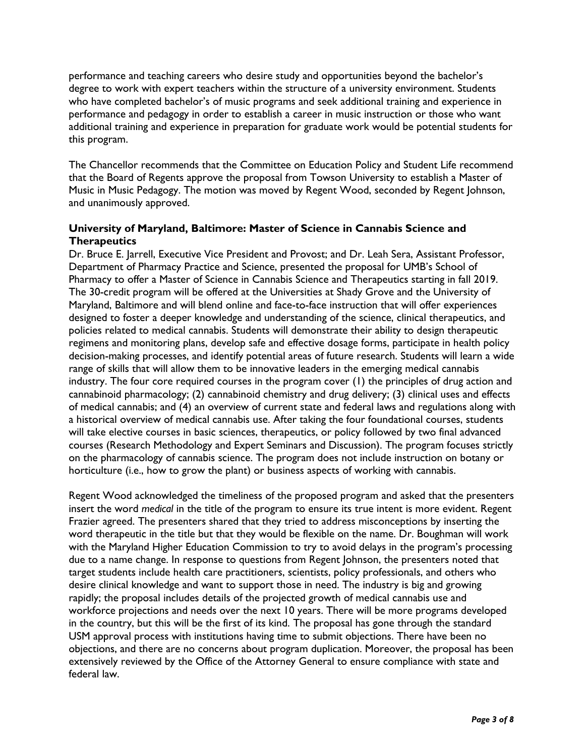performance and teaching careers who desire study and opportunities beyond the bachelor's degree to work with expert teachers within the structure of a university environment. Students who have completed bachelor's of music programs and seek additional training and experience in performance and pedagogy in order to establish a career in music instruction or those who want additional training and experience in preparation for graduate work would be potential students for this program.

The Chancellor recommends that the Committee on Education Policy and Student Life recommend that the Board of Regents approve the proposal from Towson University to establish a Master of Music in Music Pedagogy. The motion was moved by Regent Wood, seconded by Regent Johnson, and unanimously approved.

# **University of Maryland, Baltimore: Master of Science in Cannabis Science and Therapeutics**

Dr. Bruce E. Jarrell, Executive Vice President and Provost; and Dr. Leah Sera, Assistant Professor, Department of Pharmacy Practice and Science, presented the proposal for UMB's School of Pharmacy to offer a Master of Science in Cannabis Science and Therapeutics starting in fall 2019. The 30-credit program will be offered at the Universities at Shady Grove and the University of Maryland, Baltimore and will blend online and face-to-face instruction that will offer experiences designed to foster a deeper knowledge and understanding of the science, clinical therapeutics, and policies related to medical cannabis. Students will demonstrate their ability to design therapeutic regimens and monitoring plans, develop safe and effective dosage forms, participate in health policy decision-making processes, and identify potential areas of future research. Students will learn a wide range of skills that will allow them to be innovative leaders in the emerging medical cannabis industry. The four core required courses in the program cover (1) the principles of drug action and cannabinoid pharmacology; (2) cannabinoid chemistry and drug delivery; (3) clinical uses and effects of medical cannabis; and (4) an overview of current state and federal laws and regulations along with a historical overview of medical cannabis use. After taking the four foundational courses, students will take elective courses in basic sciences, therapeutics, or policy followed by two final advanced courses (Research Methodology and Expert Seminars and Discussion). The program focuses strictly on the pharmacology of cannabis science. The program does not include instruction on botany or horticulture (i.e., how to grow the plant) or business aspects of working with cannabis.

Regent Wood acknowledged the timeliness of the proposed program and asked that the presenters insert the word *medical* in the title of the program to ensure its true intent is more evident. Regent Frazier agreed. The presenters shared that they tried to address misconceptions by inserting the word therapeutic in the title but that they would be flexible on the name. Dr. Boughman will work with the Maryland Higher Education Commission to try to avoid delays in the program's processing due to a name change. In response to questions from Regent Johnson, the presenters noted that target students include health care practitioners, scientists, policy professionals, and others who desire clinical knowledge and want to support those in need. The industry is big and growing rapidly; the proposal includes details of the projected growth of medical cannabis use and workforce projections and needs over the next 10 years. There will be more programs developed in the country, but this will be the first of its kind. The proposal has gone through the standard USM approval process with institutions having time to submit objections. There have been no objections, and there are no concerns about program duplication. Moreover, the proposal has been extensively reviewed by the Office of the Attorney General to ensure compliance with state and federal law.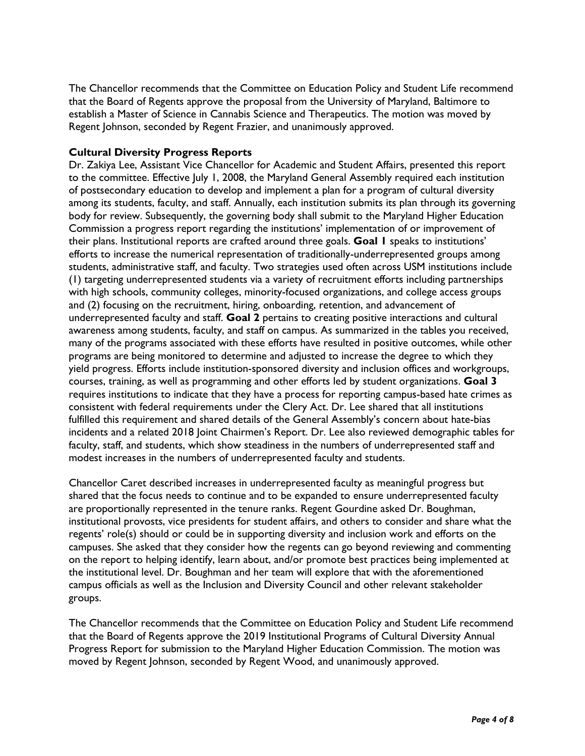The Chancellor recommends that the Committee on Education Policy and Student Life recommend that the Board of Regents approve the proposal from the University of Maryland, Baltimore to establish a Master of Science in Cannabis Science and Therapeutics. The motion was moved by Regent Johnson, seconded by Regent Frazier, and unanimously approved.

## **Cultural Diversity Progress Reports**

Dr. Zakiya Lee, Assistant Vice Chancellor for Academic and Student Affairs, presented this report to the committee. Effective July 1, 2008, the Maryland General Assembly required each institution of postsecondary education to develop and implement a plan for a program of cultural diversity among its students, faculty, and staff. Annually, each institution submits its plan through its governing body for review. Subsequently, the governing body shall submit to the Maryland Higher Education Commission a progress report regarding the institutions' implementation of or improvement of their plans. Institutional reports are crafted around three goals. **Goal 1** speaks to institutions' efforts to increase the numerical representation of traditionally-underrepresented groups among students, administrative staff, and faculty. Two strategies used often across USM institutions include (1) targeting underrepresented students via a variety of recruitment efforts including partnerships with high schools, community colleges, minority-focused organizations, and college access groups and (2) focusing on the recruitment, hiring, onboarding, retention, and advancement of underrepresented faculty and staff. **Goal 2** pertains to creating positive interactions and cultural awareness among students, faculty, and staff on campus. As summarized in the tables you received, many of the programs associated with these efforts have resulted in positive outcomes, while other programs are being monitored to determine and adjusted to increase the degree to which they yield progress. Efforts include institution-sponsored diversity and inclusion offices and workgroups, courses, training, as well as programming and other efforts led by student organizations. **Goal 3** requires institutions to indicate that they have a process for reporting campus-based hate crimes as consistent with federal requirements under the Clery Act. Dr. Lee shared that all institutions fulfilled this requirement and shared details of the General Assembly's concern about hate-bias incidents and a related 2018 Joint Chairmen's Report. Dr. Lee also reviewed demographic tables for faculty, staff, and students, which show steadiness in the numbers of underrepresented staff and modest increases in the numbers of underrepresented faculty and students.

Chancellor Caret described increases in underrepresented faculty as meaningful progress but shared that the focus needs to continue and to be expanded to ensure underrepresented faculty are proportionally represented in the tenure ranks. Regent Gourdine asked Dr. Boughman, institutional provosts, vice presidents for student affairs, and others to consider and share what the regents' role(s) should or could be in supporting diversity and inclusion work and efforts on the campuses. She asked that they consider how the regents can go beyond reviewing and commenting on the report to helping identify, learn about, and/or promote best practices being implemented at the institutional level. Dr. Boughman and her team will explore that with the aforementioned campus officials as well as the Inclusion and Diversity Council and other relevant stakeholder groups.

The Chancellor recommends that the Committee on Education Policy and Student Life recommend that the Board of Regents approve the 2019 Institutional Programs of Cultural Diversity Annual Progress Report for submission to the Maryland Higher Education Commission. The motion was moved by Regent Johnson, seconded by Regent Wood, and unanimously approved.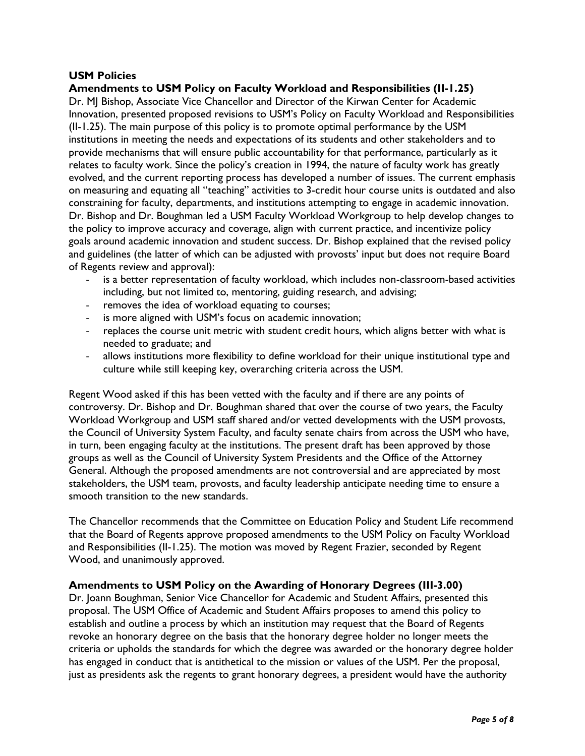## **USM Policies**

## **Amendments to USM Policy on Faculty Workload and Responsibilities (II-1.25)**

Dr. MJ Bishop, Associate Vice Chancellor and Director of the Kirwan Center for Academic Innovation, presented proposed revisions to USM's Policy on Faculty Workload and Responsibilities (II-1.25). The main purpose of this policy is to promote optimal performance by the USM institutions in meeting the needs and expectations of its students and other stakeholders and to provide mechanisms that will ensure public accountability for that performance, particularly as it relates to faculty work. Since the policy's creation in 1994, the nature of faculty work has greatly evolved, and the current reporting process has developed a number of issues. The current emphasis on measuring and equating all "teaching" activities to 3-credit hour course units is outdated and also constraining for faculty, departments, and institutions attempting to engage in academic innovation. Dr. Bishop and Dr. Boughman led a USM Faculty Workload Workgroup to help develop changes to the policy to improve accuracy and coverage, align with current practice, and incentivize policy goals around academic innovation and student success. Dr. Bishop explained that the revised policy and guidelines (the latter of which can be adjusted with provosts' input but does not require Board of Regents review and approval):

- is a better representation of faculty workload, which includes non-classroom-based activities including, but not limited to, mentoring, guiding research, and advising;
- removes the idea of workload equating to courses;
- is more aligned with USM's focus on academic innovation;
- replaces the course unit metric with student credit hours, which aligns better with what is needed to graduate; and
- allows institutions more flexibility to define workload for their unique institutional type and culture while still keeping key, overarching criteria across the USM.

Regent Wood asked if this has been vetted with the faculty and if there are any points of controversy. Dr. Bishop and Dr. Boughman shared that over the course of two years, the Faculty Workload Workgroup and USM staff shared and/or vetted developments with the USM provosts, the Council of University System Faculty, and faculty senate chairs from across the USM who have, in turn, been engaging faculty at the institutions. The present draft has been approved by those groups as well as the Council of University System Presidents and the Office of the Attorney General. Although the proposed amendments are not controversial and are appreciated by most stakeholders, the USM team, provosts, and faculty leadership anticipate needing time to ensure a smooth transition to the new standards.

The Chancellor recommends that the Committee on Education Policy and Student Life recommend that the Board of Regents approve proposed amendments to the USM Policy on Faculty Workload and Responsibilities (II-1.25). The motion was moved by Regent Frazier, seconded by Regent Wood, and unanimously approved.

#### **Amendments to USM Policy on the Awarding of Honorary Degrees (III-3.00)**

Dr. Joann Boughman, Senior Vice Chancellor for Academic and Student Affairs, presented this proposal. The USM Office of Academic and Student Affairs proposes to amend this policy to establish and outline a process by which an institution may request that the Board of Regents revoke an honorary degree on the basis that the honorary degree holder no longer meets the criteria or upholds the standards for which the degree was awarded or the honorary degree holder has engaged in conduct that is antithetical to the mission or values of the USM. Per the proposal, just as presidents ask the regents to grant honorary degrees, a president would have the authority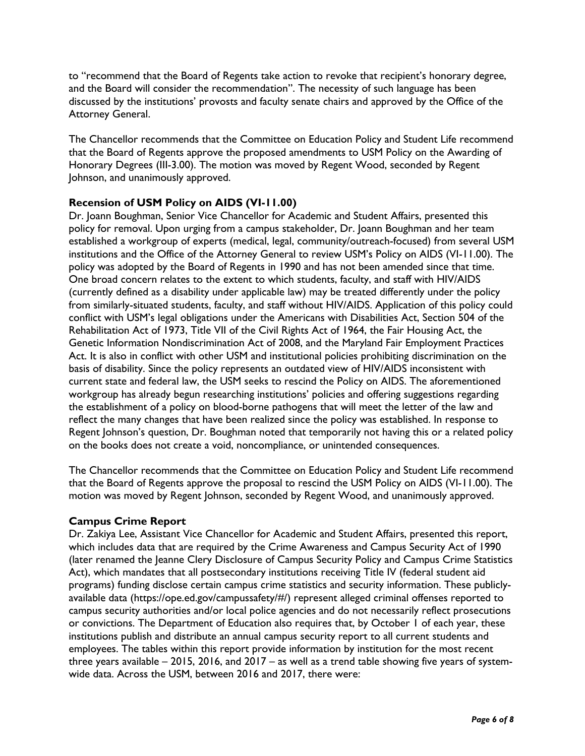to "recommend that the Board of Regents take action to revoke that recipient's honorary degree, and the Board will consider the recommendation". The necessity of such language has been discussed by the institutions' provosts and faculty senate chairs and approved by the Office of the Attorney General.

The Chancellor recommends that the Committee on Education Policy and Student Life recommend that the Board of Regents approve the proposed amendments to USM Policy on the Awarding of Honorary Degrees (III-3.00). The motion was moved by Regent Wood, seconded by Regent Johnson, and unanimously approved.

## **Recension of USM Policy on AIDS (VI-11.00)**

Dr. Joann Boughman, Senior Vice Chancellor for Academic and Student Affairs, presented this policy for removal. Upon urging from a campus stakeholder, Dr. Joann Boughman and her team established a workgroup of experts (medical, legal, community/outreach-focused) from several USM institutions and the Office of the Attorney General to review USM's Policy on AIDS (VI-11.00). The policy was adopted by the Board of Regents in 1990 and has not been amended since that time. One broad concern relates to the extent to which students, faculty, and staff with HIV/AIDS (currently defined as a disability under applicable law) may be treated differently under the policy from similarly-situated students, faculty, and staff without HIV/AIDS. Application of this policy could conflict with USM's legal obligations under the Americans with Disabilities Act, Section 504 of the Rehabilitation Act of 1973, Title VII of the Civil Rights Act of 1964, the Fair Housing Act, the Genetic Information Nondiscrimination Act of 2008, and the Maryland Fair Employment Practices Act. It is also in conflict with other USM and institutional policies prohibiting discrimination on the basis of disability. Since the policy represents an outdated view of HIV/AIDS inconsistent with current state and federal law, the USM seeks to rescind the Policy on AIDS. The aforementioned workgroup has already begun researching institutions' policies and offering suggestions regarding the establishment of a policy on blood-borne pathogens that will meet the letter of the law and reflect the many changes that have been realized since the policy was established. In response to Regent Johnson's question, Dr. Boughman noted that temporarily not having this or a related policy on the books does not create a void, noncompliance, or unintended consequences.

The Chancellor recommends that the Committee on Education Policy and Student Life recommend that the Board of Regents approve the proposal to rescind the USM Policy on AIDS (VI-11.00). The motion was moved by Regent Johnson, seconded by Regent Wood, and unanimously approved.

#### **Campus Crime Report**

Dr. Zakiya Lee, Assistant Vice Chancellor for Academic and Student Affairs, presented this report, which includes data that are required by the Crime Awareness and Campus Security Act of 1990 (later renamed the Jeanne Clery Disclosure of Campus Security Policy and Campus Crime Statistics Act), which mandates that all postsecondary institutions receiving Title IV (federal student aid programs) funding disclose certain campus crime statistics and security information. These publiclyavailable data (https://ope.ed.gov/campussafety/#/) represent alleged criminal offenses reported to campus security authorities and/or local police agencies and do not necessarily reflect prosecutions or convictions. The Department of Education also requires that, by October 1 of each year, these institutions publish and distribute an annual campus security report to all current students and employees. The tables within this report provide information by institution for the most recent three years available – 2015, 2016, and 2017 – as well as a trend table showing five years of systemwide data. Across the USM, between 2016 and 2017, there were: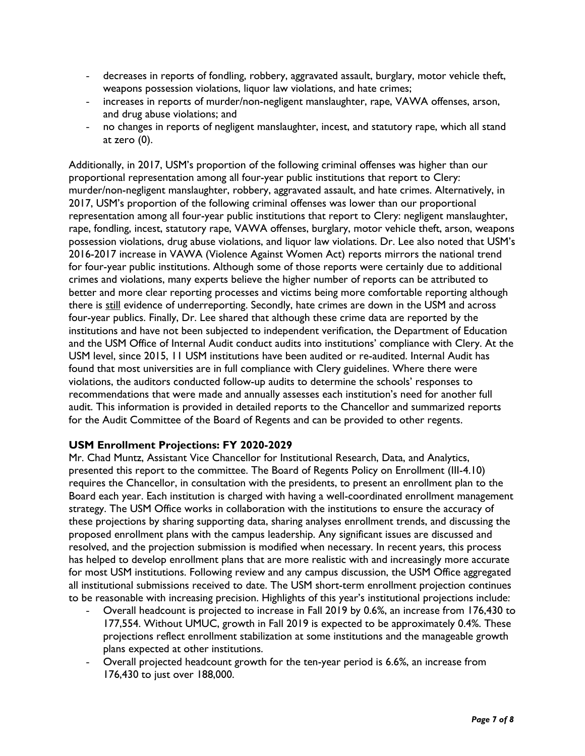- decreases in reports of fondling, robbery, aggravated assault, burglary, motor vehicle theft, weapons possession violations, liquor law violations, and hate crimes;
- increases in reports of murder/non-negligent manslaughter, rape, VAWA offenses, arson, and drug abuse violations; and
- no changes in reports of negligent manslaughter, incest, and statutory rape, which all stand at zero (0).

Additionally, in 2017, USM's proportion of the following criminal offenses was higher than our proportional representation among all four-year public institutions that report to Clery: murder/non-negligent manslaughter, robbery, aggravated assault, and hate crimes. Alternatively, in 2017, USM's proportion of the following criminal offenses was lower than our proportional representation among all four-year public institutions that report to Clery: negligent manslaughter, rape, fondling, incest, statutory rape, VAWA offenses, burglary, motor vehicle theft, arson, weapons possession violations, drug abuse violations, and liquor law violations. Dr. Lee also noted that USM's 2016-2017 increase in VAWA (Violence Against Women Act) reports mirrors the national trend for four-year public institutions. Although some of those reports were certainly due to additional crimes and violations, many experts believe the higher number of reports can be attributed to better and more clear reporting processes and victims being more comfortable reporting although there is still evidence of underreporting. Secondly, hate crimes are down in the USM and across four-year publics. Finally, Dr. Lee shared that although these crime data are reported by the institutions and have not been subjected to independent verification, the Department of Education and the USM Office of Internal Audit conduct audits into institutions' compliance with Clery. At the USM level, since 2015, 11 USM institutions have been audited or re-audited. Internal Audit has found that most universities are in full compliance with Clery guidelines. Where there were violations, the auditors conducted follow-up audits to determine the schools' responses to recommendations that were made and annually assesses each institution's need for another full audit. This information is provided in detailed reports to the Chancellor and summarized reports for the Audit Committee of the Board of Regents and can be provided to other regents.

#### **USM Enrollment Projections: FY 2020-2029**

Mr. Chad Muntz, Assistant Vice Chancellor for Institutional Research, Data, and Analytics, presented this report to the committee. The Board of Regents Policy on Enrollment (III-4.10) requires the Chancellor, in consultation with the presidents, to present an enrollment plan to the Board each year. Each institution is charged with having a well-coordinated enrollment management strategy. The USM Office works in collaboration with the institutions to ensure the accuracy of these projections by sharing supporting data, sharing analyses enrollment trends, and discussing the proposed enrollment plans with the campus leadership. Any significant issues are discussed and resolved, and the projection submission is modified when necessary. In recent years, this process has helped to develop enrollment plans that are more realistic with and increasingly more accurate for most USM institutions. Following review and any campus discussion, the USM Office aggregated all institutional submissions received to date. The USM short-term enrollment projection continues to be reasonable with increasing precision. Highlights of this year's institutional projections include:

- Overall headcount is projected to increase in Fall 2019 by 0.6%, an increase from 176,430 to 177,554. Without UMUC, growth in Fall 2019 is expected to be approximately 0.4%. These projections reflect enrollment stabilization at some institutions and the manageable growth plans expected at other institutions.
- Overall projected headcount growth for the ten-year period is 6.6%, an increase from 176,430 to just over 188,000.